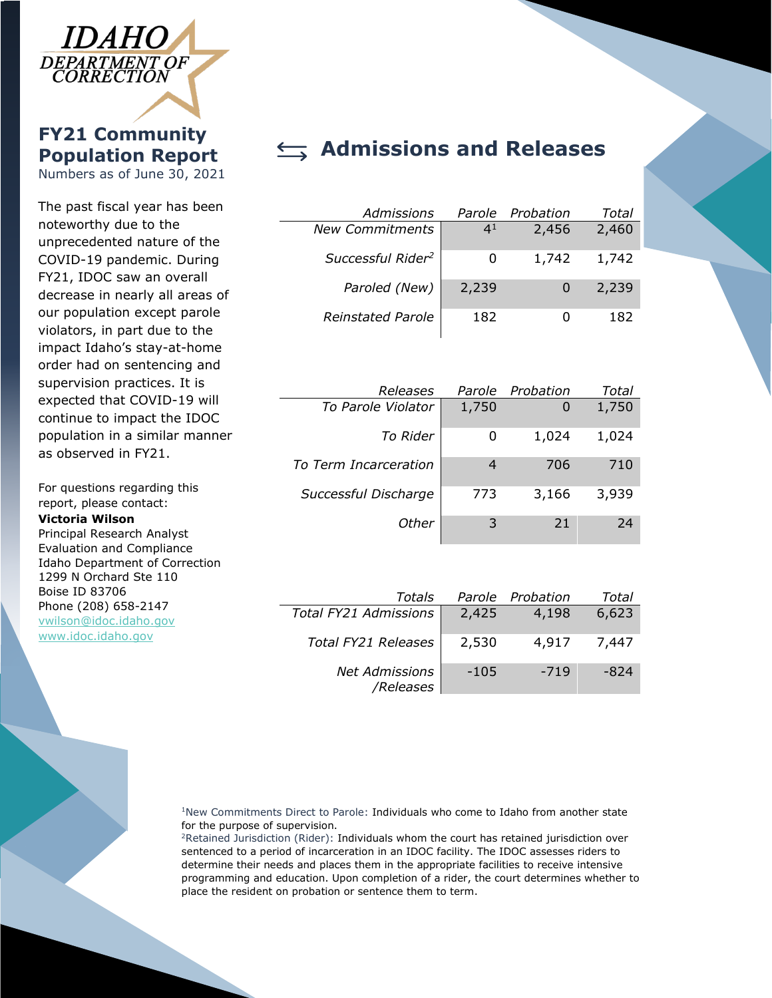

## **FY21 Community Population Report**

Numbers as of June 30, 2021

The past fiscal year has been noteworthy due to the unprecedented nature of the COVID-19 pandemic. During FY21, IDOC saw an overall decrease in nearly all areas of our population except parole violators, in part due to the impact Idaho's stay-at-home order had on sentencing and supervision practices. It is expected that COVID-19 will continue to impact the IDOC population in a similar manner as observed in FY21.

For questions regarding this report, please contact:

### **Victoria Wilson**

Principal Research Analyst Evaluation and Compliance Idaho Department of Correction 1299 N Orchard Ste 110 Boise ID 83706 Phone (208) 658-2147 [vwilson@idoc.idaho.gov](mailto:vwilson@idoc.idaho.gov) [www.idoc.idaho.gov](http://www.idoc.idaho.gov/)

## **Admissions and Releases**

| Admissions                    | Parole         | Probation | Total |
|-------------------------------|----------------|-----------|-------|
| <b>New Commitments</b>        | 4 <sup>1</sup> | 2,456     | 2,460 |
| Successful Rider <sup>2</sup> | 0              | 1,742     | 1,742 |
| Paroled (New)                 | 2,239          |           | 2,239 |
| <b>Reinstated Parole</b>      | 182            |           | 182   |

| Releases              | Parole | Probation | Total |
|-----------------------|--------|-----------|-------|
| To Parole Violator    | 1,750  |           | 1,750 |
| To Rider              |        | 1,024     | 1,024 |
| To Term Incarceration | 4      | 706       | 710   |
| Successful Discharge  | 773    | 3,166     | 3,939 |
| Other                 | 3      | 21        | 24    |

| Totals                             | Parole | Probation | Total |
|------------------------------------|--------|-----------|-------|
| <b>Total FY21 Admissions</b>       | 2,425  | 4,198     | 6,623 |
| <b>Total FY21 Releases</b>         | 2,530  | 4,917     | 7,447 |
| <b>Net Admissions</b><br>/Releases | $-105$ | $-719$    | -824  |

<sup>1</sup>New Commitments Direct to Parole: Individuals who come to Idaho from another state for the purpose of supervision.

<sup>2</sup>Retained Jurisdiction (Rider): Individuals whom the court has retained jurisdiction over sentenced to a period of incarceration in an IDOC facility. The IDOC assesses riders to determine their needs and places them in the appropriate facilities to receive intensive programming and education. Upon completion of a rider, the court determines whether to place the resident on probation or sentence them to term.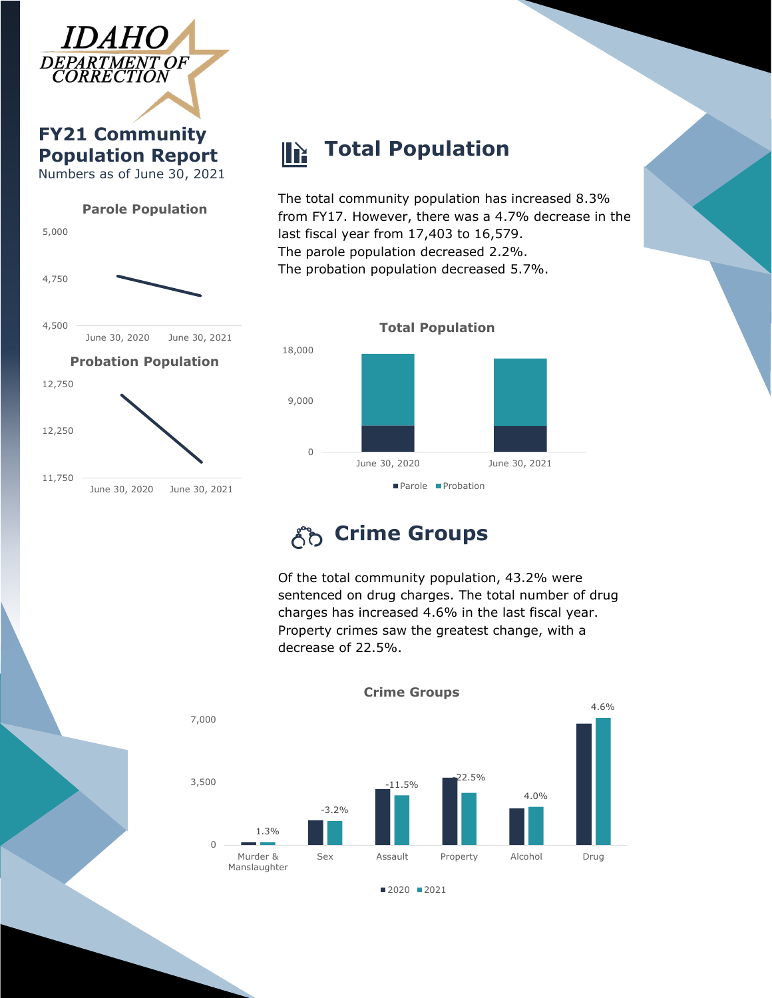

**FY21 Community Population Report** Numbers as of June 30, 2021



### **Total Population** lè.

The total community population has increased 8.3% from FY17. However, there was a 4.7% decrease in the last fiscal year from 17,403 to 16,579. The parole population decreased 2.2%. The probation population decreased 5.7%.



# **Crime Groups**

Of the total community population, 43.2% were sentenced on drug charges. The total number of drug charges has increased 4.6% in the last fiscal year. Property crimes saw the greatest change, with a decrease of 22.5%.



■2020 2021

**Crime Groups**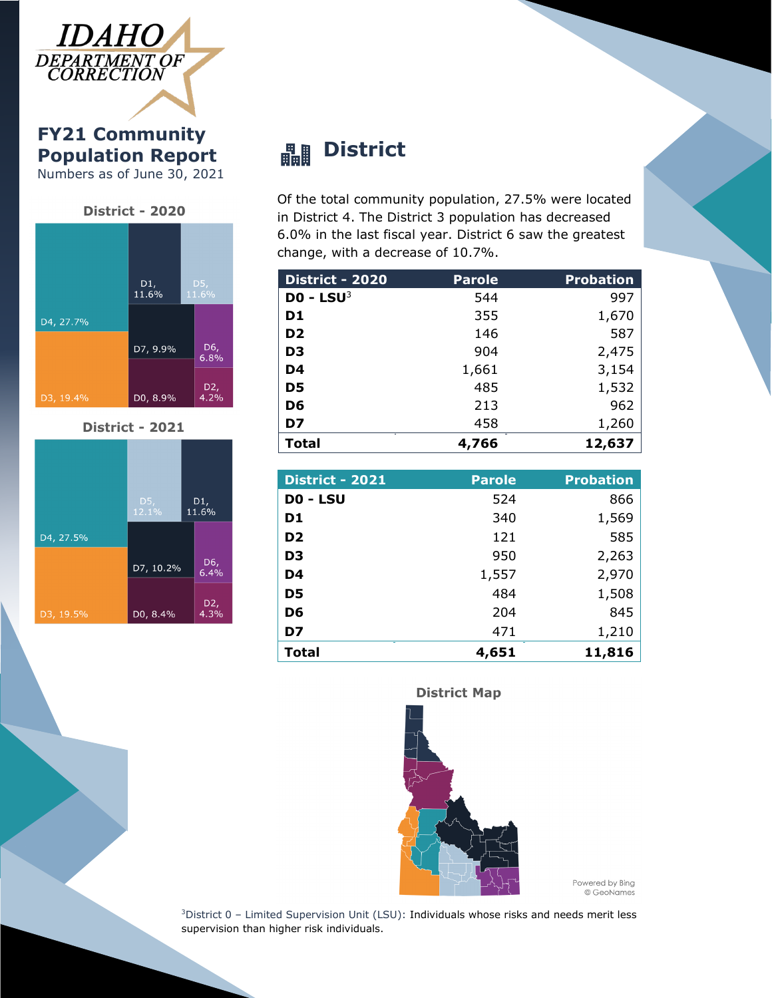

**FY21 Community Population Report** Numbers as of June 30, 2021

### District - 2020



**District - 2021** 



### **District** 畾

Of the total community population, 27.5% were located in District 4. The District 3 population has decreased 6.0% in the last fiscal year. District 6 saw the greatest change, with a decrease of 10.7%.

| <b>District - 2020</b> | <b>Parole</b> | <b>Probation</b> |
|------------------------|---------------|------------------|
| $DO - LSU^3$           | 544           | 997              |
| D1                     | 355           | 1,670            |
| D <sub>2</sub>         | 146           | 587              |
| D <sub>3</sub>         | 904           | 2,475            |
| D4                     | 1,661         | 3,154            |
| D <sub>5</sub>         | 485           | 1,532            |
| D6                     | 213           | 962              |
| D7                     | 458           | 1,260            |
| Total                  | 4,766         | 12,637           |

| <b>District - 2021</b> | <b>Parole</b> | <b>Probation</b> |
|------------------------|---------------|------------------|
| DO - LSU               | 524           | 866              |
| D <sub>1</sub>         | 340           | 1,569            |
| D <sub>2</sub>         | 121           | 585              |
| D <sub>3</sub>         | 950           | 2,263            |
| D <sub>4</sub>         | 1,557         | 2,970            |
| D <sub>5</sub>         | 484           | 1,508            |
| D <sub>6</sub>         | 204           | 845              |
| D7                     | 471           | 1,210            |
| <b>Total</b>           | 4,651         | 11,816           |

**District Map** 



Powered by Bing © GeoNames

3District 0 – Limited Supervision Unit (LSU): Individuals whose risks and needs merit less supervision than higher risk individuals.